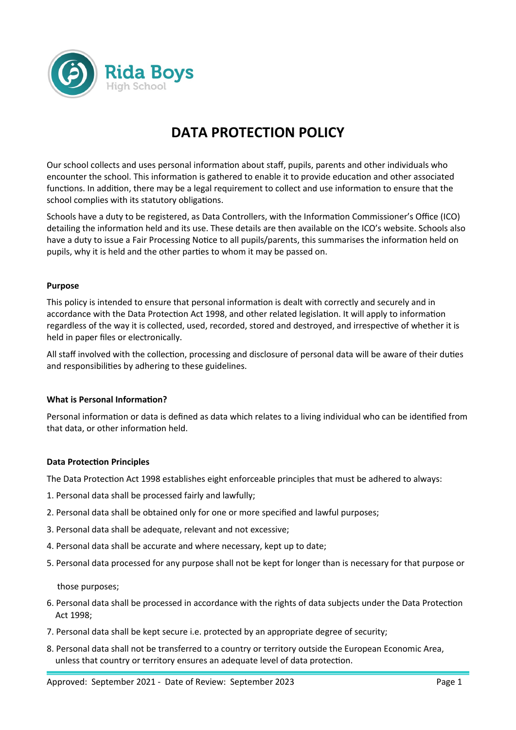

# **DATA PROTECTION POLICY**

Our school collects and uses personal information about staff, pupils, parents and other individuals who encounter the school. This information is gathered to enable it to provide education and other associated functions. In addition, there may be a legal requirement to collect and use information to ensure that the school complies with its statutory obligations.

Schools have a duty to be registered, as Data Controllers, with the Information Commissioner's Office (ICO) detailing the information held and its use. These details are then available on the ICO's website. Schools also have a duty to issue a Fair Processing Notice to all pupils/parents, this summarises the information held on pupils, why it is held and the other parties to whom it may be passed on.

## **Purpose**

This policy is intended to ensure that personal information is dealt with correctly and securely and in accordance with the Data Protection Act 1998, and other related legislation. It will apply to information regardless of the way it is collected, used, recorded, stored and destroyed, and irrespective of whether it is held in paper files or electronically.

All staff involved with the collection, processing and disclosure of personal data will be aware of their duties and responsibilities by adhering to these guidelines.

## **What is Personal Information?**

Personal information or data is defined as data which relates to a living individual who can be identified from that data, or other information held.

## **Data Protection Principles**

The Data Protection Act 1998 establishes eight enforceable principles that must be adhered to always:

- 1. Personal data shall be processed fairly and lawfully;
- 2. Personal data shall be obtained only for one or more specified and lawful purposes;
- 3. Personal data shall be adequate, relevant and not excessive;
- 4. Personal data shall be accurate and where necessary, kept up to date;
- 5. Personal data processed for any purpose shall not be kept for longer than is necessary for that purpose or

those purposes;

- 6. Personal data shall be processed in accordance with the rights of data subjects under the Data Protection Act 1998;
- 7. Personal data shall be kept secure i.e. protected by an appropriate degree of security;
- 8. Personal data shall not be transferred to a country or territory outside the European Economic Area, unless that country or territory ensures an adequate level of data protection.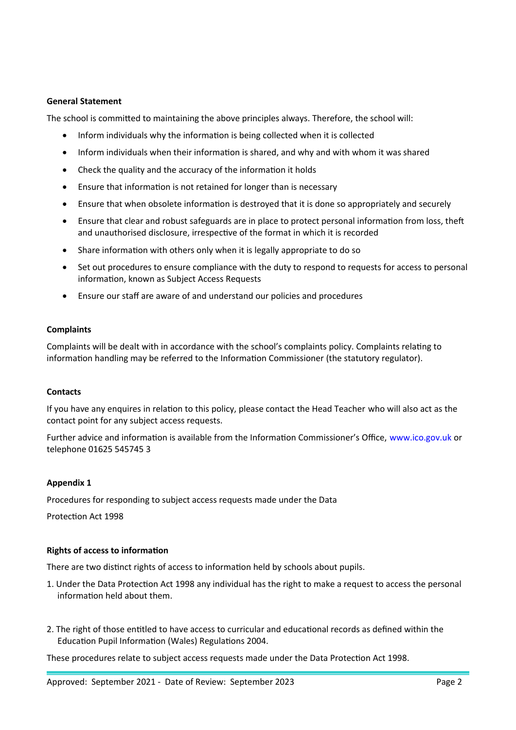## **General Statement**

The school is committed to maintaining the above principles always. Therefore, the school will:

- Inform individuals why the information is being collected when it is collected
- Inform individuals when their information is shared, and why and with whom it was shared
- Check the quality and the accuracy of the information it holds
- Ensure that information is not retained for longer than is necessary
- Ensure that when obsolete information is destroyed that it is done so appropriately and securely
- Ensure that clear and robust safeguards are in place to protect personal information from loss, theft and unauthorised disclosure, irrespective of the format in which it is recorded
- Share information with others only when it is legally appropriate to do so
- Set out procedures to ensure compliance with the duty to respond to requests for access to personal information, known as Subject Access Requests
- Ensure our staff are aware of and understand our policies and procedures

#### **Complaints**

Complaints will be dealt with in accordance with the school's complaints policy. Complaints relating to information handling may be referred to the Information Commissioner (the statutory regulator).

#### **Contacts**

If you have any enquires in relation to this policy, please contact the Head Teacher who will also act as the contact point for any subject access requests.

Further advice and information is available from the Information Commissioner's Office, www.ico.gov.uk or telephone 01625 545745 3

#### **Appendix 1**

Procedures for responding to subject access requests made under the Data

Protection Act 1998

## **Rights of access to information**

There are two distinct rights of access to information held by schools about pupils.

- 1. Under the Data Protection Act 1998 any individual has the right to make a request to access the personal information held about them.
- 2. The right of those entitled to have access to curricular and educational records as defined within the Education Pupil Information (Wales) Regulations 2004.

These procedures relate to subject access requests made under the Data Protection Act 1998.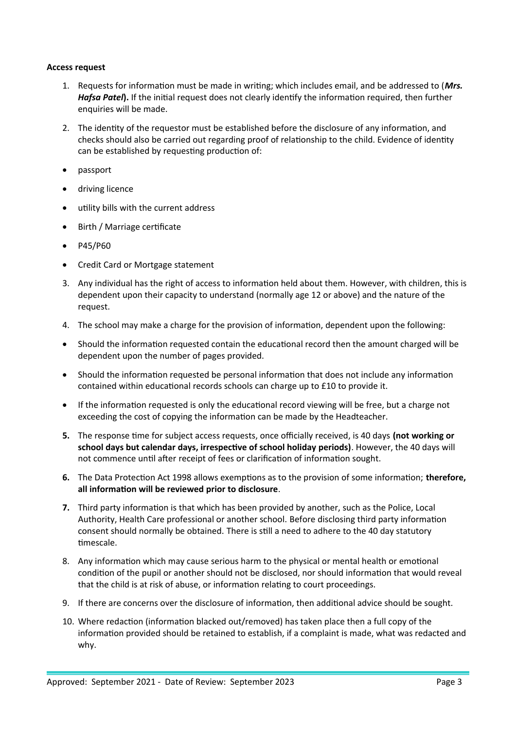## **Access request**

- 1. Requests for information must be made in writing; which includes email, and be addressed to (*Mrs. Hafsa Patel***).** If the initial request does not clearly identify the information required, then further enquiries will be made.
- 2. The identity of the requestor must be established before the disclosure of any information, and checks should also be carried out regarding proof of relationship to the child. Evidence of identity can be established by requesting production of:
- passport
- driving licence
- utility bills with the current address
- Birth / Marriage certificate
- P45/P60
- Credit Card or Mortgage statement
- 3. Any individual has the right of access to information held about them. However, with children, this is dependent upon their capacity to understand (normally age 12 or above) and the nature of the request.
- 4. The school may make a charge for the provision of information, dependent upon the following:
- Should the information requested contain the educational record then the amount charged will be dependent upon the number of pages provided.
- Should the information requested be personal information that does not include any information contained within educational records schools can charge up to £10 to provide it.
- If the information requested is only the educational record viewing will be free, but a charge not exceeding the cost of copying the information can be made by the Headteacher.
- **5.** The response time for subject access requests, once officially received, is 40 days **(not working or school days but calendar days, irrespective of school holiday periods)**. However, the 40 days will not commence until after receipt of fees or clarification of information sought.
- **6.** The Data Protection Act 1998 allows exemptions as to the provision of some information; **therefore, all information will be reviewed prior to disclosure**.
- **7.** Third party information is that which has been provided by another, such as the Police, Local Authority, Health Care professional or another school. Before disclosing third party information consent should normally be obtained. There is still a need to adhere to the 40 day statutory timescale.
- 8. Any information which may cause serious harm to the physical or mental health or emotional condition of the pupil or another should not be disclosed, nor should information that would reveal that the child is at risk of abuse, or information relating to court proceedings.
- 9. If there are concerns over the disclosure of information, then additional advice should be sought.
- 10. Where redaction (information blacked out/removed) has taken place then a full copy of the information provided should be retained to establish, if a complaint is made, what was redacted and why.